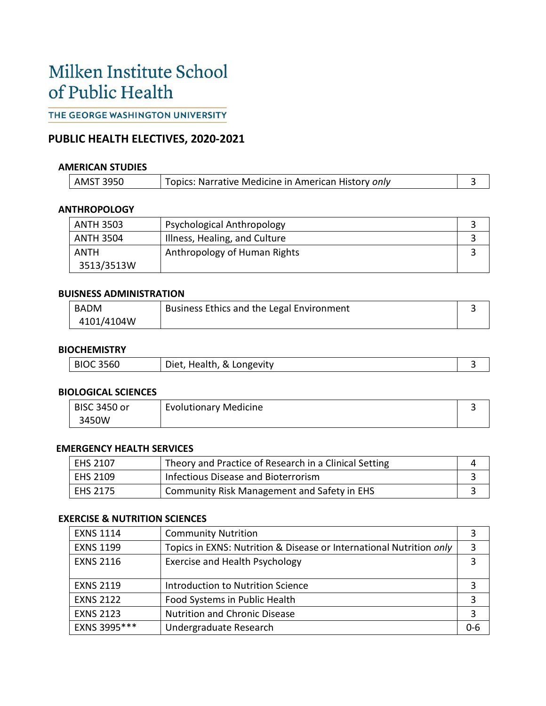# Milken Institute School of Public Health

THE GEORGE WASHINGTON UNIVERSITY

## **PUBLIC HEALTH ELECTIVES, 2020-2021**

#### **AMERICAN STUDIES**

| Topics: Narrative Medicine in American History only<br>3950<br>AMST |  |
|---------------------------------------------------------------------|--|
|                                                                     |  |

#### **ANTHROPOLOGY**

| <b>ANTH 3503</b> | <b>Psychological Anthropology</b> |  |
|------------------|-----------------------------------|--|
| <b>ANTH 3504</b> | Illness, Healing, and Culture     |  |
| ANTH             | Anthropology of Human Rights      |  |
| 3513/3513W       |                                   |  |

#### **BUISNESS ADMINISTRATION**

| BADM       | Business Ethics and the Legal Environment |  |
|------------|-------------------------------------------|--|
| 4101/4104W |                                           |  |

## **BIOCHEMISTRY**

|  | <b>BIOC 3560</b> | Diet, Health, & Longevity |  |
|--|------------------|---------------------------|--|
|--|------------------|---------------------------|--|

#### **BIOLOGICAL SCIENCES**

| <b>BISC 3450 or</b> | <b>Evolutionary Medicine</b> |  |
|---------------------|------------------------------|--|
| 3450W               |                              |  |

#### **EMERGENCY HEALTH SERVICES**

| <b>EHS 2107</b> | Theory and Practice of Research in a Clinical Setting | 4 |
|-----------------|-------------------------------------------------------|---|
| EHS 2109        | Infectious Disease and Bioterrorism                   |   |
| <b>EHS 2175</b> | Community Risk Management and Safety in EHS           |   |

#### **EXERCISE & NUTRITION SCIENCES**

| <b>EXNS 1114</b> | <b>Community Nutrition</b>                                          |     |
|------------------|---------------------------------------------------------------------|-----|
| <b>EXNS 1199</b> | Topics in EXNS: Nutrition & Disease or International Nutrition only | 3   |
| <b>EXNS 2116</b> | Exercise and Health Psychology                                      | 3   |
|                  |                                                                     |     |
| <b>EXNS 2119</b> | Introduction to Nutrition Science                                   | 3   |
| <b>EXNS 2122</b> | Food Systems in Public Health                                       | 3   |
| <b>EXNS 2123</b> | <b>Nutrition and Chronic Disease</b>                                | 3   |
| EXNS 3995 ***    | Undergraduate Research                                              | 0-6 |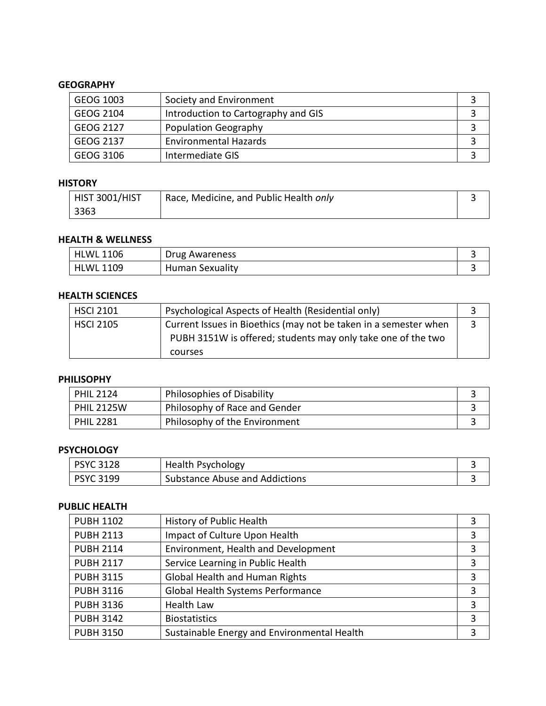## **GEOGRAPHY**

| GEOG 1003 | Society and Environment             |  |
|-----------|-------------------------------------|--|
| GEOG 2104 | Introduction to Cartography and GIS |  |
| GEOG 2127 | <b>Population Geography</b>         |  |
| GEOG 2137 | <b>Environmental Hazards</b>        |  |
| GEOG 3106 | Intermediate GIS                    |  |

## **HISTORY**

| HIST 3001/HIST | Race, Medicine, and Public Health only |  |
|----------------|----------------------------------------|--|
| 3363           |                                        |  |

### **HEALTH & WELLNESS**

| <b>HLWL</b><br>1106 | Drug Awareness         |  |
|---------------------|------------------------|--|
| <b>HLWL 1109</b>    | <b>Human Sexuality</b> |  |

## **HEALTH SCIENCES**

| <b>HSCI 2101</b> | Psychological Aspects of Health (Residential only)               |   |
|------------------|------------------------------------------------------------------|---|
| <b>HSCI 2105</b> | Current Issues in Bioethics (may not be taken in a semester when | 3 |
|                  | PUBH 3151W is offered; students may only take one of the two     |   |
|                  | courses                                                          |   |

#### **PHILISOPHY**

| <b>PHIL 2124</b>  | <b>Philosophies of Disability</b> |  |
|-------------------|-----------------------------------|--|
| <b>PHIL 2125W</b> | Philosophy of Race and Gender     |  |
| <b>PHIL 2281</b>  | Philosophy of the Environment     |  |

## **PSYCHOLOGY**

| <b>PSYC 3128</b> | Health Psychology              |  |
|------------------|--------------------------------|--|
| <b>PSYC 3199</b> | Substance Abuse and Addictions |  |

## **PUBLIC HEALTH**

| <b>PUBH 1102</b> | History of Public Health                    | 3 |
|------------------|---------------------------------------------|---|
| <b>PUBH 2113</b> | Impact of Culture Upon Health               | 3 |
| <b>PUBH 2114</b> | Environment, Health and Development         | 3 |
| <b>PUBH 2117</b> | Service Learning in Public Health           | 3 |
| <b>PUBH 3115</b> | <b>Global Health and Human Rights</b>       | 3 |
| <b>PUBH 3116</b> | Global Health Systems Performance           | 3 |
| <b>PUBH 3136</b> | <b>Health Law</b>                           | 3 |
| <b>PUBH 3142</b> | <b>Biostatistics</b>                        | 3 |
| <b>PUBH 3150</b> | Sustainable Energy and Environmental Health |   |